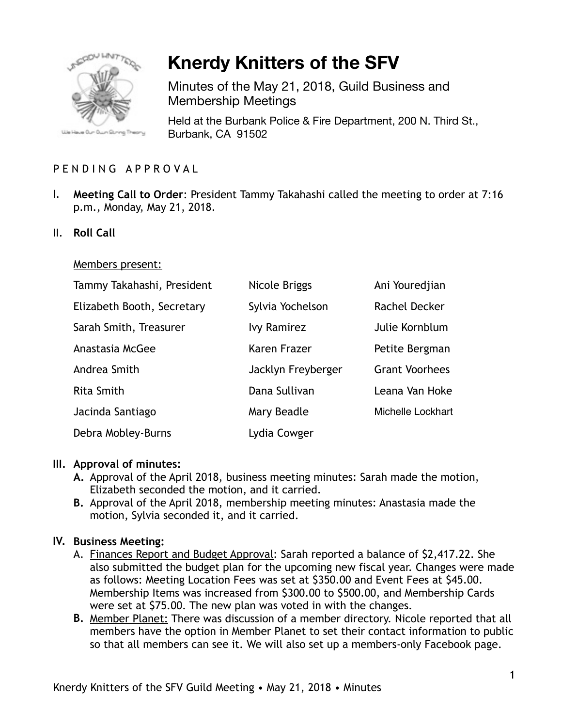

# **Knerdy Knitters of the SFV**

Minutes of the May 21, 2018, Guild Business and Membership Meetings

Held at the Burbank Police & Fire Department, 200 N. Third St., Burbank, CA 91502

# PENDING APPROVAL

- I. **Meeting Call to Order**: President Tammy Takahashi called the meeting to order at 7:16 p.m., Monday, May 21, 2018.
- II. **Roll Call**

#### Members present:

| Tammy Takahashi, President | Nicole Briggs      | Ani Youredjian        |
|----------------------------|--------------------|-----------------------|
| Elizabeth Booth, Secretary | Sylvia Yochelson   | Rachel Decker         |
| Sarah Smith, Treasurer     | <b>Ivy Ramirez</b> | Julie Kornblum        |
| Anastasia McGee            | Karen Frazer       | Petite Bergman        |
| Andrea Smith               | Jacklyn Freyberger | <b>Grant Voorhees</b> |
| <b>Rita Smith</b>          | Dana Sullivan      | Leana Van Hoke        |
| Jacinda Santiago           | Mary Beadle        | Michelle Lockhart     |
| Debra Mobley-Burns         | Lydia Cowger       |                       |

#### **III. Approval of minutes:**

- **A.** Approval of the April 2018, business meeting minutes: Sarah made the motion, Elizabeth seconded the motion, and it carried.
- **B.** Approval of the April 2018, membership meeting minutes: Anastasia made the motion, Sylvia seconded it, and it carried.

### **IV. Business Meeting:**

- A. Finances Report and Budget Approval: Sarah reported a balance of \$2,417.22. She also submitted the budget plan for the upcoming new fiscal year. Changes were made as follows: Meeting Location Fees was set at \$350.00 and Event Fees at \$45.00. Membership Items was increased from \$300.00 to \$500.00, and Membership Cards were set at \$75.00. The new plan was voted in with the changes.
- **B.** Member Planet: There was discussion of a member directory. Nicole reported that all members have the option in Member Planet to set their contact information to public so that all members can see it. We will also set up a members-only Facebook page.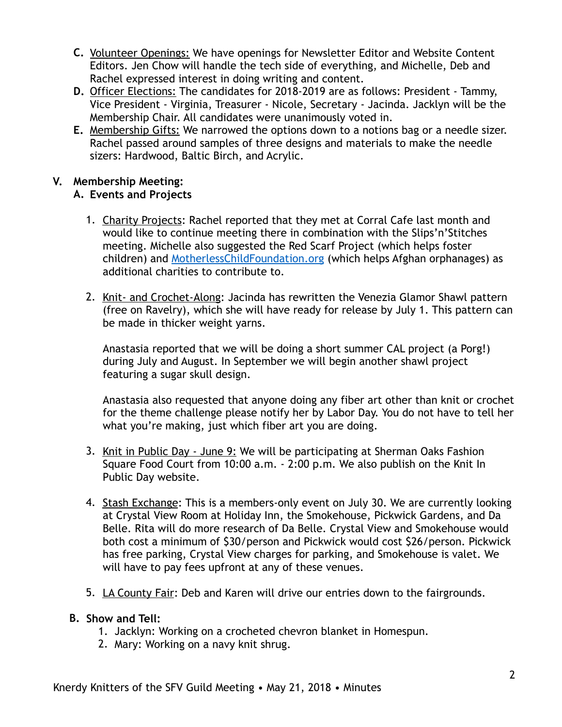- **C.** Volunteer Openings: We have openings for Newsletter Editor and Website Content Editors. Jen Chow will handle the tech side of everything, and Michelle, Deb and Rachel expressed interest in doing writing and content.
- **D.** Officer Elections: The candidates for 2018-2019 are as follows: President Tammy, Vice President - Virginia, Treasurer - Nicole, Secretary - Jacinda. Jacklyn will be the Membership Chair. All candidates were unanimously voted in.
- **E.** Membership Gifts: We narrowed the options down to a notions bag or a needle sizer. Rachel passed around samples of three designs and materials to make the needle sizers: Hardwood, Baltic Birch, and Acrylic.

# **V. Membership Meeting:**

# **A. Events and Projects**

- 1. Charity Projects: Rachel reported that they met at Corral Cafe last month and would like to continue meeting there in combination with the Slips'n'Stitches meeting. Michelle also suggested the Red Scarf Project (which helps foster children) and [MotherlessChildFoundation.org](http://motherlesschildfoundation.org) (which helps Afghan orphanages) as additional charities to contribute to.
- 2. Knit- and Crochet-Along: Jacinda has rewritten the Venezia Glamor Shawl pattern (free on Ravelry), which she will have ready for release by July 1. This pattern can be made in thicker weight yarns.

Anastasia reported that we will be doing a short summer CAL project (a Porg!) during July and August. In September we will begin another shawl project featuring a sugar skull design.

Anastasia also requested that anyone doing any fiber art other than knit or crochet for the theme challenge please notify her by Labor Day. You do not have to tell her what you're making, just which fiber art you are doing.

- 3. Knit in Public Day June 9: We will be participating at Sherman Oaks Fashion Square Food Court from 10:00 a.m. - 2:00 p.m. We also publish on the Knit In Public Day website.
- 4. Stash Exchange: This is a members-only event on July 30. We are currently looking at Crystal View Room at Holiday Inn, the Smokehouse, Pickwick Gardens, and Da Belle. Rita will do more research of Da Belle. Crystal View and Smokehouse would both cost a minimum of \$30/person and Pickwick would cost \$26/person. Pickwick has free parking, Crystal View charges for parking, and Smokehouse is valet. We will have to pay fees upfront at any of these venues.
- 5. LA County Fair: Deb and Karen will drive our entries down to the fairgrounds.

### **B. Show and Tell:**

- 1. Jacklyn: Working on a crocheted chevron blanket in Homespun.
- 2. Mary: Working on a navy knit shrug.